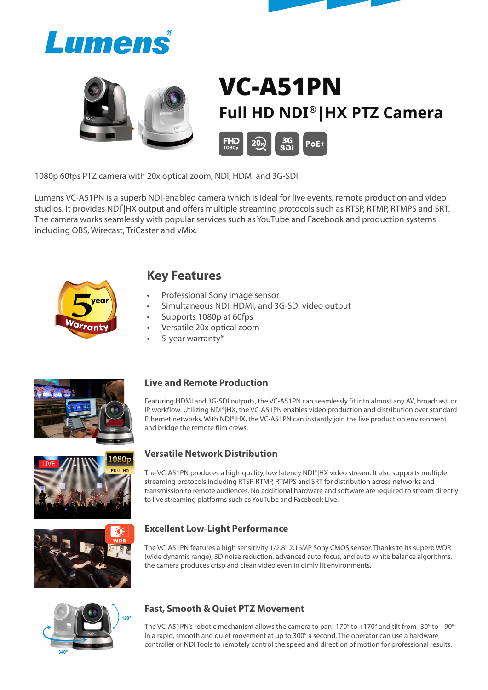



# VC-A51PN **Full HD NDI®|HX PTZ Camera**



1080p 60fps PTZ camera with 20x optical zoom, NDI, HDMI and 3G-SDI.

Lumens VC-A51PN is a superb NDI-enabled camera which is ideal for live events, remote production and video studios. It provides NDI<sup>°</sup>|HX output and offers multiple streaming protocols such as RTSP, RTMP, RTMPS and SRT. The camera works seamlessly with popular services such as YouTube and Facebook and production systems including OBS, Wirecast, TriCaster and vMix.



# **Key Features**

- Professional Sony image sensor
- Simultaneous NDI, HDMI, and 3G-SDI video output
- Supports 1080p at 60fps
- Versatile 20x optical zoom
- 5-year warranty\*



## **Live and Remote Production**

Featuring HDMI and 3G-SDI outputs, the VC-A51PN can seamlessly fit into almost any AV, broadcast, or IP workflow. Utilizing NDI®|HX, the VC-A51PN enables video production and distribution over standard Ethernet networks. With NDI®|HX, the VC-A51PN can instantly join the live production environment and bridge the remote film crews.



## **Versatile Network Distribution**

The VC-A51PN produces a high-quality, low latency NDI®|HX video stream. It also supports multiple streaming protocols including RTSP, RTMP, RTMPS and SRT for distribution across networks and transmission to remote audiences. No additional hardware and software are required to stream directly to live streaming platforms such as YouTube and Facebook Live.



## **Excellent Low-Light Performance**

The VC-A51PN features a high sensitivity 1/2.8" 2.16MP Sony CMOS sensor. Thanks to its superb WDR (wide dynamic range), 3D noise reduction, advanced auto-focus, and auto-white balance algorithms, the camera produces crisp and clean video even in dimly lit environments.



## **Fast, Smooth & Quiet PTZ Movement**

The VC-A51PN's robotic mechanism allows the camera to pan -170 $^{\circ}$  to +170 $^{\circ}$  and tilt from -30 $^{\circ}$  to +90 $^{\circ}$ in a rapid, smooth and quiet movement at up to 300° a second. The operator can use a hardware controller or NDI Tools to remotely control the speed and direction of motion for professional results.